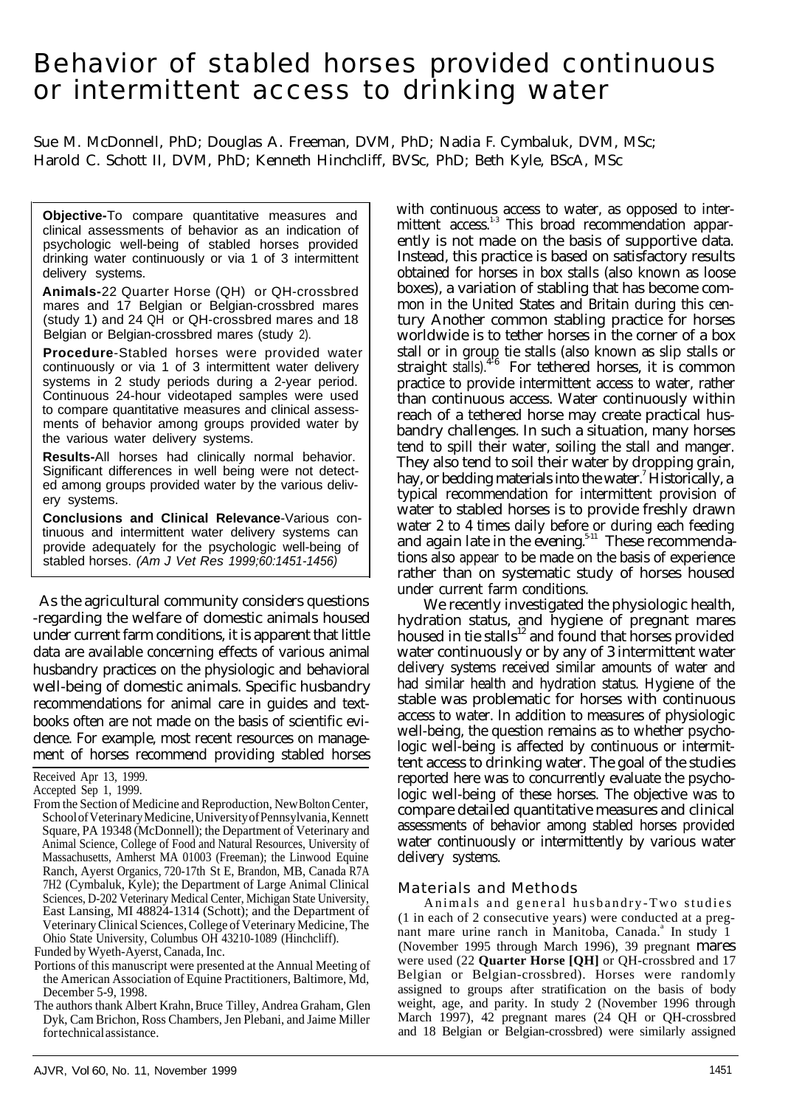# Behavior of stabled horses provided continuous or intermittent access to drinking water

Sue M. McDonnell, PhD; Douglas A. Freeman, DVM, PhD; Nadia F. Cymbaluk, DVM, MSc; Harold C. Schott II, DVM, PhD; Kenneth Hinchcliff, BVSc, PhD; Beth Kyle, BScA, MSc

**Objective-**To compare quantitative measures and clinical assessments of behavior as an indication of psychologic well-being of stabled horses provided drinking water continuously or via 1 of 3 intermittent delivery systems.

**Animals-**22 Quarter Horse (QH) or QH-crossbred mares and 17 Belgian or Belgian-crossbred mares (study 1) and 24 QH or QH-crossbred mares and 18 Belgian or Belgian-crossbred mares (study 2).

**Procedure**-Stabled horses were provided water continuously or via 1 of 3 intermittent water delivery systems in 2 study periods during a 2-year period. Continuous 24-hour videotaped samples were used to compare quantitative measures and clinical assessments of behavior among groups provided water by the various water delivery systems.

**Results-**All horses had clinically normal behavior. Significant differences in well being were not detected among groups provided water by the various delivery systems.

**Conclusions and Clinical Relevance**-Various continuous and intermittent water delivery systems can provide adequately for the psychologic well-being of stabled horses. *(Am J Vet Res 1999;60:1451-1456)*

As the agricultural community considers questions -regarding the welfare of domestic animals housed under current farm conditions, it is apparent that little data are available concerning effects of various animal husbandry practices on the physiologic and behavioral well-being of domestic animals. Specific husbandry recommendations for animal care in guides and textbooks often are not made on the basis of scientific evidence. For example, most recent resources on management of horses recommend providing stabled horses

Received Apr 13, 1999.

Funded by Wyeth-Ayerst, Canada, Inc.

with continuous access to water, as opposed to intermittent access.<sup>13</sup> This broad recommendation apparently is not made on the basis of supportive data. Instead, this practice is based on satisfactory results obtained for horses in box stalls (also known as loose boxes), a variation of stabling that has become common in the United States and Britain during this century Another common stabling practice for horses worldwide is to tether horses in the corner of a box stall or in group tie stalls (also known as slip stalls or straight stalls). $4-6$  For tethered horses, it is common practice to provide intermittent access to water, rather than continuous access. Water continuously within reach of a tethered horse may create practical husbandry challenges. In such a situation, many horses tend to spill their water, soiling the stall and manger. They also tend to soil their water by dropping grain, hay, or bedding materials into the water.<sup>7</sup> Historically, a typical recommendation for intermittent provision of water to stabled horses is to provide freshly drawn water 2 to 4 times daily before or during each feeding and again late in the evening.<sup>5-11</sup> These recommendations also appear to be made on the basis of experience rather than on systematic study of horses housed under current farm conditions.

We recently investigated the physiologic health, hydration status, and hygiene of pregnant mares housed in tie stalls $^{12}$  and found that horses provided water continuously or by any of 3 intermittent water delivery systems received similar amounts of water and had similar health and hydration status. Hygiene of the stable was problematic for horses with continuous access to water. In addition to measures of physiologic well-being, the question remains as to whether psychologic well-being is affected by continuous or intermittent access to drinking water. The goal of the studies reported here was to concurrently evaluate the psychologic well-being of these horses. The objective was to compare detailed quantitative measures and clinical assessments of behavior among stabled horses provided water continuously or intermittently by various water delivery systems.

## Materials and Methods

Animals and general husbandry-Two studies (1 in each of 2 consecutive years) were conducted at a pregnant mare urine ranch in Manitoba, Canada.<sup>a</sup> In study 1 (November 1995 through March 1996), 39 pregnant mares were used (22 **Quarter Horse [QH]** or QH-crossbred and 17 Belgian or Belgian-crossbred). Horses were randomly assigned to groups after stratification on the basis of body weight, age, and parity. In study 2 (November 1996 through March 1997), 42 pregnant mares (24 QH or QH-crossbred and 18 Belgian or Belgian-crossbred) were similarly assigned

Accepted Sep 1, 1999.

From the Section of Medicine and Reproduction, New Bolton Center, School of Veterinary Medicine, University of Pennsylvania, Kennett Square, PA 19348 (McDonnell); the Department of Veterinary and Animal Science, College of Food and Natural Resources, University of Massachusetts, Amherst MA 01003 (Freeman); the Linwood Equine Ranch, Ayerst Organics, 720-17th St E, Brandon, MB, Canada R7A 7H2 (Cymbaluk, Kyle); the Department of Large Animal Clinical Sciences, D-202 Veterinary Medical Center, Michigan State University, East Lansing, MI 48824-1314 (Schott); and the Department of Veterinary Clinical Sciences, College of Veterinary Medicine, The Ohio State University, Columbus OH 43210-1089 (Hinchcliff).

Portions of this manuscript were presented at the Annual Meeting of the American Association of Equine Practitioners, Baltimore, Md, December 5-9, 1998.

The authors thank Albert Krahn, Bruce Tilley, Andrea Graham, Glen Dyk, Cam Brichon, Ross Chambers, Jen Plebani, and Jaime Miller for technical assistance.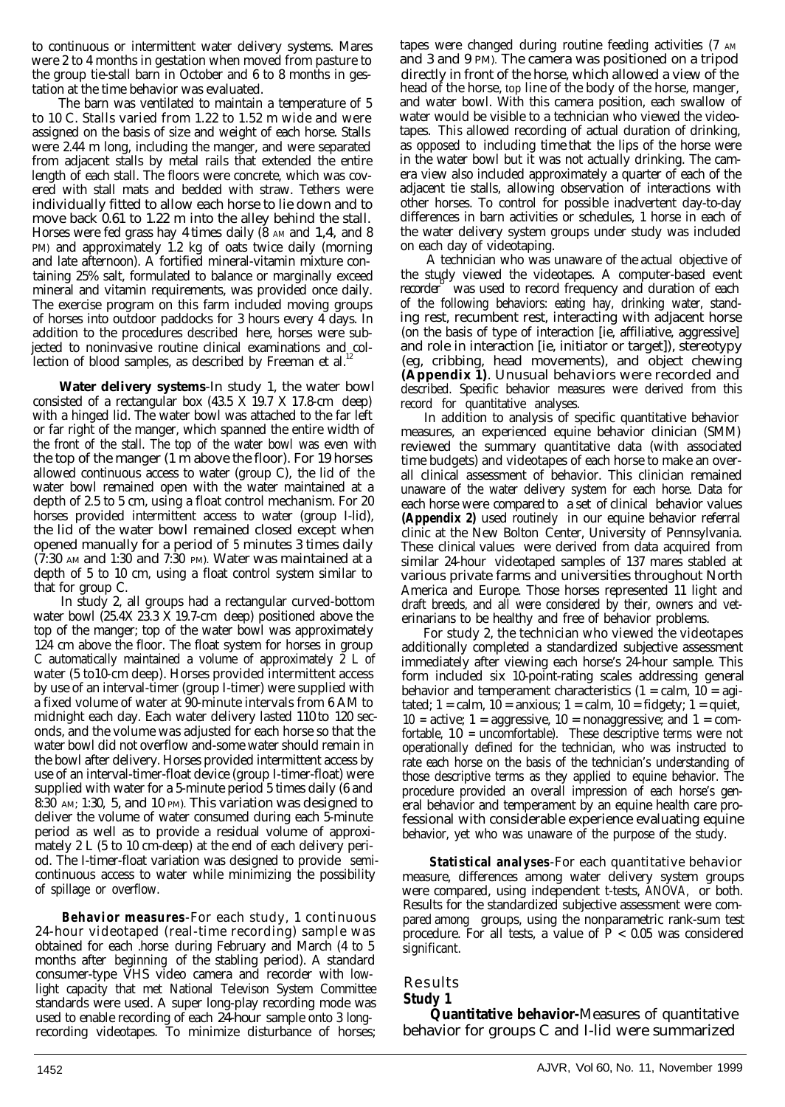to continuous or intermittent water delivery systems. Mares were 2 to 4 months in gestation when moved from pasture to the group tie-stall barn in October and 6 to 8 months in ges- directly in front of the horse, which allowed a view of the tation at the time behavior was evaluated. head of the horse, top line of the body of the horse, manger,

The barn was ventilated to maintain a temperature of 5 to 10 C. Stalls varied from 1.22 to 1.52 m wide and were assigned on the basis of size and weight of each horse. Stalls were 2.44 m long, including the manger, and were separated from adjacent stalls by metal rails that extended the entire length of each stall. The floors were concrete, which was covered with stall mats and bedded with straw. Tethers were individually fitted to allow each horse to lie down and to move back 0.61 to 1.22 m into the alley behind the stall. Horses were fed grass hay 4 times daily  $(8 \text{ AM} \text{ and } 1,4, \text{ and } 8)$ PM) and approximately 1.2 kg of oats twice daily (morning and late afternoon). A fortified mineral-vitamin mixture containing 25% salt, formulated to balance or marginally exceed mineral and vitamin requirements, was provided once daily. The exercise program on this farm included moving groups of horses into outdoor paddocks for 3 hours every 4 days. In addition to the procedures described here, horses were subjected to noninvasive routine clinical examinations and collection of blood samples, as described by Freeman et al.<sup>1</sup>

**Water delivery systems**-In study 1, the water bowl consisted of a rectangular box (43.5 X 19.7 X 17.8-cm deep) with a hinged lid. The water bowl was attached to the far left or far right of the manger, which spanned the entire width of the front of the stall. The top of the water bowl was even with the top of the manger (1 m above the floor). For 19 horses allowed continuous access to water (group C), the lid of the water bowl remained open with the water maintained at a depth of 2.5 to 5 cm, using a float control mechanism. For 20 horses provided intermittent access to water (group I-lid), the lid of the water bowl remained closed except when opened manually for a period of 5 minutes 3 times daily  $(7:30)$  AM and 1:30 and 7:30 PM). Water was maintained at a depth of 5 to 10 cm, using a float control system similar to that for group C.

In study 2, all groups had a rectangular curved-bottom water bowl  $(25.4X 23.3 X 19.7 cm$  deep) positioned above the top of the manger; top of the water bowl was approximately 124 cm above the floor. The float system for horses in group C automatically maintained a volume of approximately 2 L of water (5 to10-cm deep). Horses provided intermittent access by use of an interval-timer (group I-timer) were supplied with a fixed volume of water at 90-minute intervals from 6 AM to midnight each day. Each water delivery lasted 110 to 120 seconds, and the volume was adjusted for each horse so that the water bowl did not overflow and-some water should remain in the bowl after delivery. Horses provided intermittent access by use of an interval-timer-float device (group I-timer-float) were supplied with water for a 5-minute period 5 times daily (6 and 8:30 AM; 1:30, 5, and 10 PM). This variation was designed to deliver the volume of water consumed during each 5-minute period as well as to provide a residual volume of approximately 2 L (5 to 10 cm-deep) at the end of each delivery period. The I-timer-float variation was designed to provide semicontinuous access to water while minimizing the possibility of spillage or overflow.

**Behavior measures**-For each study, 1 continuous 24-hour videotaped (real-time recording) sample was obtained for each .horse during February and March (4 to 5 months after beginning of the stabling period). A standard consumer-type VHS video camera and recorder with lowlight capacity that met National Televison System Committee standards were used. A super long-play recording mode was used to enable recording of each 24-hour sample onto 3 longrecording videotapes. To minimize disturbance of horses; tapes were changed during routine feeding activities (7 AM and 3 and 9 PM). The camera was positioned on a tripod and water bowl. With this camera position, each swallow of water would be visible to a technician who viewed the videotapes. This allowed recording of actual duration of drinking, as opposed to including time that the lips of the horse were in the water bowl but it was not actually drinking. The camera view also included approximately a quarter of each of the adjacent tie stalls, allowing observation of interactions with other horses. To control for possible inadvertent day-to-day differences in barn activities or schedules, 1 horse in each of the water delivery system groups under study was included on each day of videotaping.

A technician who was unaware of the actual objective of the study viewed the videotapes. A computer-based event recorder was used to record frequency and duration of each of the following behaviors: eating hay, drinking water, standing rest, recumbent rest, interacting with adjacent horse (on the basis of type of interaction [ie, affiliative, aggressive] and role in interaction [ie, initiator or target]), stereotypy (eg, cribbing, head movements), and object chewing **(Appendix 1)**. Unusual behaviors were recorded and described. Specific behavior measures were derived from this record for quantitative analyses.

In addition to analysis of specific quantitative behavior measures, an experienced equine behavior clinician (SMM) reviewed the summary quantitative data (with associated time budgets) and videotapes of each horse to make an overall clinical assessment of behavior. This clinician remained unaware of the water delivery system for each horse. Data for each horse were compared to a set of clinical behavior values **(Appendix 2)** used routinely in our equine behavior referral clinic at the New Bolton Center, University of Pennsylvania. These clinical values were derived from data acquired from similar 24-hour videotaped samples of 137 mares stabled at various private farms and universities throughout North America and Europe. Those horses represented 11 light and draft breeds, and all were considered by their, owners and veterinarians to be healthy and free of behavior problems.

For study 2, the technician who viewed the videotapes additionally completed a standardized subjective assessment immediately after viewing each horse's 24-hour sample. This form included six 10-point-rating scales addressing general behavior and temperament characteristics  $(1 = \text{calm}, 10 = \text{agi} - \text{adj} - \text{adj} - \text{adj} - \text{adj} - \text{adj} - \text{adj} - \text{adj} - \text{adj} - \text{adj} - \text{adj} - \text{adj} - \text{adj} - \text{adj} - \text{adj} - \text{adj} - \text{adj} - \text{adj} - \text{adj} - \text{adj} - \text{adj} - \text{adj} - \text{adj} - \text{adj} - \text{adj} - \text{adj} - \text{adj} - \text{adj$ tated;  $1 = \text{calm}, 10 = \text{anxious}; 1 = \text{calm}, 10 = \text{fidgety}; 1 = \text{quiet},$ 10 = active;  $1 =$  aggressive,  $10 =$  nonaggressive; and  $1 =$  comfortable, 10 = uncomfortable). These descriptive terms were not operationally defined for the technician, who was instructed to rate each horse on the basis of the technician's understanding of those descriptive terms as they applied to equine behavior. The procedure provided an overall impression of each horse's general behavior and temperament by an equine health care professional with considerable experience evaluating equine behavior, yet who was unaware of the purpose of the study.

**Statistical analyses**-For each quantitative behavior measure, differences among water delivery system groups were compared, using independent t-tests, ANOVA, or both. Results for the standardized subjective assessment were compared among groups, using the nonparametric rank-sum test procedure. For all tests, a value of  $\bar{P}$  < 0.05 was considered significant.

Results **Study 1**

**Quantitative behavior-**Measures of quantitative behavior for groups C and I-lid were summarized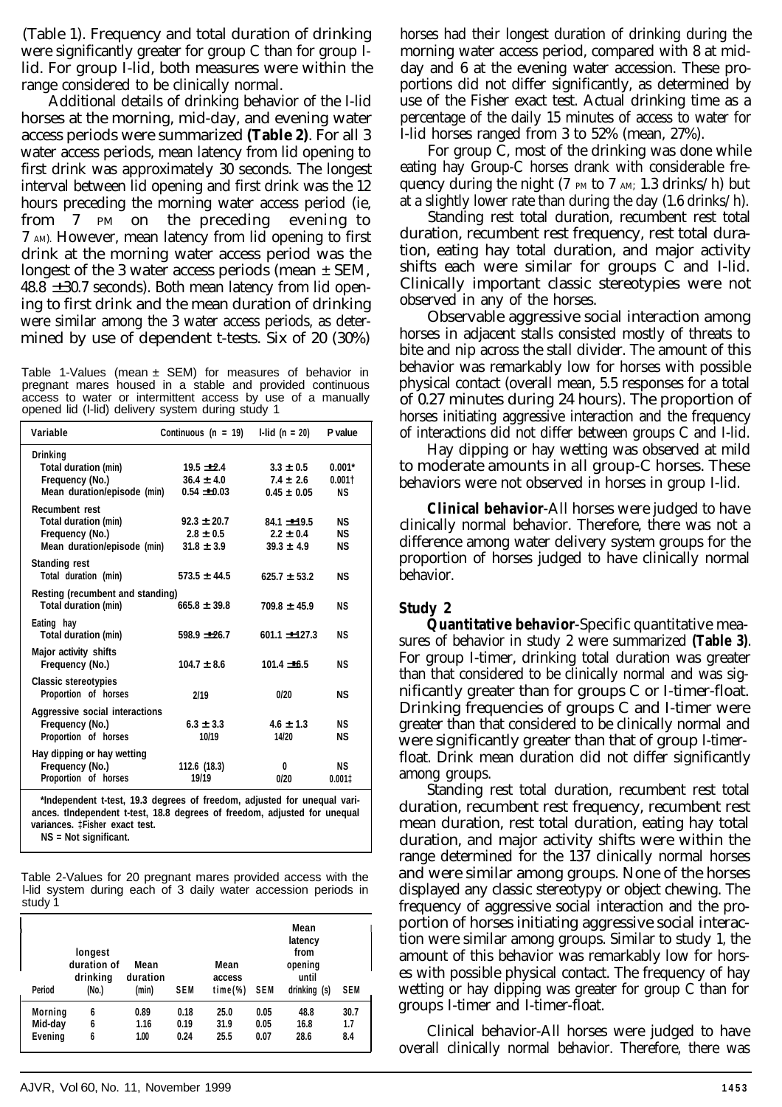(Table 1). Frequency and total duration of drinking were significantly greater for group C than for group Ilid. For group I-lid, both measures were within the range considered to be clinically normal.

Additional details of drinking behavior of the I-lid horses at the morning, mid-day, and evening water access periods were summarized **(Table 2)**. For all 3 water access periods, mean latency from lid opening to first drink was approximately 30 seconds. The longest interval between lid opening and first drink was the 12 hours preceding the morning water access period (ie, from 7 PM on the preceding evening to 7 AM). However, mean latency from lid opening to first drink at the morning water access period was the longest of the 3 water access periods (mean ± SEM,  $48.8 \pm 30.7$  seconds). Both mean latency from lid opening to first drink and the mean duration of drinking were similar among the 3 water access periods, as determined by use of dependent t-tests. Six of 20 (30%)

Table 1-Values (mean  $\pm$  SEM) for measures of behavior in pregnant mares housed in a stable and provided continuous access to water or intermittent access by use of a manually opened lid (I-lid) delivery system during study 1

| Variable                                                                                        | Continuous ( $n = 19$ )                            | $1$ -lid (n = 20)                                 | P value                         |
|-------------------------------------------------------------------------------------------------|----------------------------------------------------|---------------------------------------------------|---------------------------------|
| Drinking<br>Total duration (min)<br>Frequency (No.)<br>Mean duration/episode (min)              | $19.5 + 2.4$<br>$36.4 \pm 4.0$<br>$0.54 - 0.03$    | $3.3 \pm 0.5$<br>$7.4 \pm 2.6$<br>$0.45 \pm 0.05$ | $0.001*$<br>0.0011<br><b>NS</b> |
| <b>Recumbent rest</b><br>Total duration (min)<br>Frequency (No.)<br>Mean duration/episode (min) | $92.3 \pm 20.7$<br>$2.8 \pm 0.5$<br>$31.8 \pm 3.9$ | $84.1 + 19.5$<br>$2.2 \pm 0.4$<br>$39.3 \pm 4.9$  | ΝS<br>ΝS<br>ΝS                  |
| Standing rest<br>Total duration (min)                                                           | $573.5 \pm 44.5$                                   | $625.7 + 53.2$                                    | ΝS                              |
| Resting (recumbent and standing)<br>Total duration (min)                                        | $665.8 \pm 39.8$                                   | $709.8 \pm 45.9$                                  | ΝS                              |
| Eating hay<br>Total duration (min)                                                              | $598.9 +26.7$                                      | $601.1 + 127.3$                                   | ΝS                              |
| Major activity shifts<br>Frequency (No.)                                                        | $104.7 \pm 8.6$                                    | $101.4 - 6.5$                                     | ΝS                              |
| <b>Classic stereotypies</b><br>Proportion of horses                                             | 2/19                                               | 0/20                                              | <b>NS</b>                       |
| Aggressive social interactions<br>Frequency (No.)<br>Proportion of horses                       | $6.3 \pm 3.3$<br>10/19                             | $4.6 \pm 1.3$<br>14/20                            | ΝS<br><b>NS</b>                 |
| Hay dipping or hay wetting<br>Frequency (No.)<br>Proportion of horses                           | 112.6 (18.3)<br>19/19                              | 0<br>0/20                                         | ΝS<br>0.0011                    |

**\*Independent t-test, 19.3 degrees of freedom, adjusted for unequal variances. tlndependent t-test, 18.8 degrees of freedom, adjusted for unequal variances. ‡Fisher exact test. NS = Not significant.**

Table 2-Values for 20 pregnant mares provided access with the l-lid system during each of 3 daily water accession periods in study 1

| Period  | longest<br>duration of<br>drinking<br>(No.) | Mean<br>duration<br>(min) | <b>SEM</b> | Mean<br>access<br>$time$ %) | <b>SEM</b> | Mean<br>latency<br>from<br>opening<br>until<br>drinking (s) | <b>SEM</b> |
|---------|---------------------------------------------|---------------------------|------------|-----------------------------|------------|-------------------------------------------------------------|------------|
| Morning | 6                                           | 0.89                      | 0.18       | 25.0                        | 0.05       | 48.8                                                        | 30.7       |
| Mid-day | 6                                           | 1.16                      | 0.19       | 31.9                        | 0.05       | 16.8                                                        | 1.7        |
| Evening | 6                                           | 1.00                      | 0.24       | 25.5                        | 0.07       | 28.6                                                        | 8.4        |

horses had their longest duration of drinking during the morning water access period, compared with 8 at midday and 6 at the evening water accession. These proportions did not differ significantly, as determined by use of the Fisher exact test. Actual drinking time as a percentage of the daily 15 minutes of access to water for I-lid horses ranged from 3 to 52% (mean, 27%).

For group C, most of the drinking was done while eating hay Group-C horses drank with considerable frequency during the night (7  $_{PM}$  to 7  $_{AM}$ ; 1.3 drinks/h) but at a slightly lower rate than during the day (1.6 drinks/h).

Standing rest total duration, recumbent rest total duration, recumbent rest frequency, rest total duration, eating hay total duration, and major activity shifts each were similar for groups C and I-lid. Clinically important classic stereotypies were not observed in any of the horses.

Observable aggressive social interaction among horses in adjacent stalls consisted mostly of threats to bite and nip across the stall divider. The amount of this behavior was remarkably low for horses with possible physical contact (overall mean, 5.5 responses for a total of 0.27 minutes during 24 hours). The proportion of horses initiating aggressive interaction and the frequency of interactions did not differ between groups C and I-lid.

Hay dipping or hay wetting was observed at mild to moderate amounts in all group-C horses. These behaviors were not observed in horses in group I-lid.

**Clinical behavior**-All horses were judged to have clinically normal behavior. Therefore, there was not a difference among water delivery system groups for the proportion of horses judged to have clinically normal behavior.

## **Study 2**

**Quantitative behavior**-Specific quantitative measures of behavior in study 2 were summarized **(Table 3)**. For group I-timer, drinking total duration was greater than that considered to be clinically normal and was significantly greater than for groups C or I-timer-float. Drinking frequencies of groups C and I-timer were greater than that considered to be clinically normal and were significantly greater than that of group I-timerfloat. Drink mean duration did not differ significantly among groups.

Standing rest total duration, recumbent rest total duration, recumbent rest frequency, recumbent rest mean duration, rest total duration, eating hay total duration, and major activity shifts were within the range determined for the 137 clinically normal horses and were similar among groups. None of the horses displayed any classic stereotypy or object chewing. The frequency of aggressive social interaction and the proportion of horses initiating aggressive social interaction were similar among groups. Similar to study 1, the amount of this behavior was remarkably low for horses with possible physical contact. The frequency of hay wetting or hay dipping was greater for group C than for groups I-timer and I-timer-float.

Clinical behavior-All horses were judged to have overall clinically normal behavior. Therefore, there was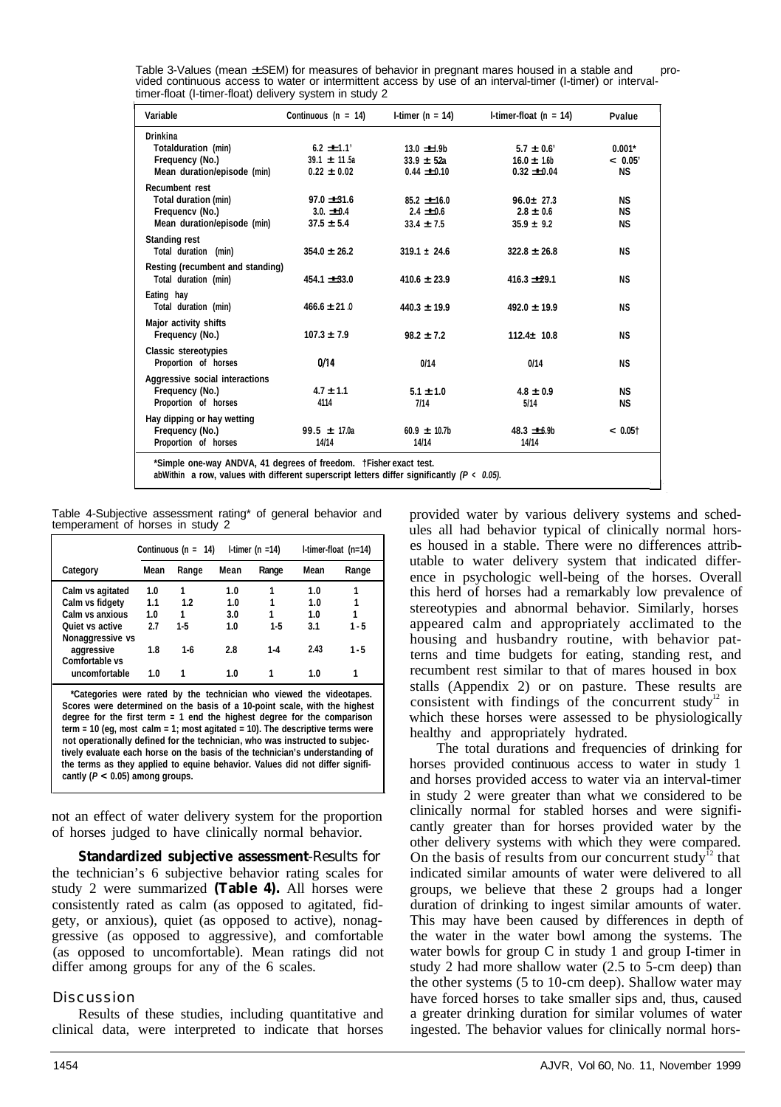| Variable                         | Continuous ( $n = 14$ ) | I-timer ( $n = 14$ ) | I-timer-float ( $n = 14$ ) | Pvalue     |
|----------------------------------|-------------------------|----------------------|----------------------------|------------|
| Drinkina                         |                         |                      |                            |            |
| Totalduration (min)              | $6.2 \pm 1.1'$          | $13.0 \pm 0.9b$      | $5.7 \pm 0.6'$             | $0.001*$   |
| Frequency (No.)                  | $39.1 \pm 11.5a$        | $33.9 \pm 52a$       | $16.0 \pm 1.6$             | < 0.05'    |
| Mean duration/episode (min)      | $0.22 \pm 0.02$         | $0.44 \pm 0.10$      | $0.32 \pm 0.04$            | <b>NS</b>  |
| Recumbent rest                   |                         |                      |                            |            |
| Total duration (min)             | $97.0 \pm 31.6$         | $85.2 \pm 16.0$      | $96.0 \pm 27.3$            | <b>NS</b>  |
| Frequency (No.)                  | $3.0. \pm 0.4$          | $2.4 \pm 0.6$        | $2.8 \pm 0.6$              | <b>NS</b>  |
| Mean duration/episode (min)      | $37.5 \pm 5.4$          | $33.4 \pm 7.5$       | $35.9 \pm 9.2$             | <b>NS</b>  |
| <b>Standing rest</b>             |                         |                      |                            |            |
| Total duration (min)             | $354.0 \pm 26.2$        | $319.1 \pm 24.6$     | $322.8 \pm 26.8$           | <b>NS</b>  |
| Resting (recumbent and standing) |                         |                      |                            |            |
| Total duration (min)             | $454.1 \pm 33.0$        | $410.6 \pm 23.9$     | $416.3 \pm 29.1$           | <b>NS</b>  |
|                                  |                         |                      |                            |            |
| Eating hay                       |                         |                      |                            |            |
| Total duration (min)             | $466.6 \pm 21.0$        | $440.3 \pm 19.9$     | $492.0 \pm 19.9$           | ΝS         |
| Major activity shifts            |                         |                      |                            |            |
| Frequency (No.)                  | $107.3 \pm 7.9$         | $98.2 \pm 7.2$       | $112.4 \pm 10.8$           | <b>NS</b>  |
| Classic stereotypies             |                         |                      |                            |            |
| Proportion of horses             | 0/14                    | 0/14                 | 0/14                       | ΝS         |
|                                  |                         |                      |                            |            |
| Aggressive social interactions   | $4.7 \pm 1.1$           | $5.1 \pm 1.0$        | $4.8 \pm 0.9$              | <b>NS</b>  |
| Frequency (No.)                  | 4114                    | 7/14                 |                            |            |
| Proportion of horses             |                         |                      | 5/14                       | <b>NS</b>  |
| Hay dipping or hay wetting       |                         |                      |                            |            |
| Frequency (No.)                  | $99.5 \pm 17.0a$        | $60.9 \pm 10.7$ b    | $48.3 \pm 6.9b$            | $< 0.05$ † |
| Proportion of horses             | 14/14                   | 14/14                | 14/14                      |            |

Table 3-Values (mean ±SEM) for measures of behavior in pregnant mares housed in a stable and provided continuous access to water or intermittent access by use of an interval-timer (I-timer) or intervaltimer-float (I-timer-float) delivery system in study 2

**\*Simple one-way ANDVA, 41 degrees of freedom. †Fisher exact test.**

**abWithin a row, values with different superscript letters differ significantly** *(P < 0.05).*

Table 4-Subjective assessment rating\* of general behavior and temperament of horses in study 2

|                  |      | Continuous ( $n = 14$ ) |      | I-timer (n $=14$ ) |      | I-timer-float (n=14) |
|------------------|------|-------------------------|------|--------------------|------|----------------------|
| Category         | Mean | Range                   | Mean | Range              | Mean | Range                |
| Calm vs agitated | 1.0  |                         | 1.0  |                    | 1.0  |                      |
| Calm vs fidgety  | 1.1  | 1.2                     | 1.0  |                    | 1.0  |                      |
| Calm vs anxious  | 1.0  |                         | 3.0  |                    | 1.0  |                      |
| Quiet vs active  | 2.7  | $1-5$                   | 1.0  | $1-5$              | 3.1  | $1 - 5$              |
| Nonaggressive vs |      |                         |      |                    |      |                      |
| aggressive       | 1.8  | $1 - 6$                 | 2.8  | $1-4$              | 2.43 | $1 - 5$              |
| Comfortable vs   |      |                         |      |                    |      |                      |
| uncomfortable    | 1.0  |                         | 1.0  |                    | 1.0  |                      |
|                  |      |                         |      |                    |      |                      |

**\*Categories were rated by the technician who viewed the videotapes. Scores were determined on the basis of a 10-point scale, with the highest degree for the first term = 1 end the highest degree for the comparison term = 10 (eg, most calm = 1; most agitated = 10). The descriptive terms were not operationally defined for the technician, who was instructed to subjectively evaluate each horse on the basis of the technician's understanding of the terms as they applied to equine behavior. Values did not differ signifi**cantly  $(P < 0.05)$  among groups.

not an effect of water delivery system for the proportion of horses judged to have clinically normal behavior.

**Standardized subjective assessment**-Results for the technician's 6 subjective behavior rating scales for study 2 were summarized **(Table 4).** All horses were consistently rated as calm (as opposed to agitated, fidgety, or anxious), quiet (as opposed to active), nonaggressive (as opposed to aggressive), and comfortable (as opposed to uncomfortable). Mean ratings did not differ among groups for any of the 6 scales.

## Discussion

Results of these studies, including quantitative and clinical data, were interpreted to indicate that horses provided water by various delivery systems and schedules all had behavior typical of clinically normal horses housed in a stable. There were no differences attributable to water delivery system that indicated difference in psychologic well-being of the horses. Overall this herd of horses had a remarkably low prevalence of stereotypies and abnormal behavior. Similarly, horses appeared calm and appropriately acclimated to the housing and husbandry routine, with behavior patterns and time budgets for eating, standing rest, and recumbent rest similar to that of mares housed in box stalls (Appendix 2) or on pasture. These results are consistent with findings of the concurrent study<sup>12</sup> in which these horses were assessed to be physiologically healthy and appropriately hydrated.

The total durations and frequencies of drinking for horses provided continuous access to water in study 1 and horses provided access to water via an interval-timer in study 2 were greater than what we considered to be clinically normal for stabled horses and were significantly greater than for horses provided water by the other delivery systems with which they were compared. On the basis of results from our concurrent study<sup>12</sup> that indicated similar amounts of water were delivered to all groups, we believe that these 2 groups had a longer duration of drinking to ingest similar amounts of water. This may have been caused by differences in depth of the water in the water bowl among the systems. The water bowls for group C in study 1 and group I-timer in study 2 had more shallow water (2.5 to 5-cm deep) than the other systems (5 to 10-cm deep). Shallow water may have forced horses to take smaller sips and, thus, caused a greater drinking duration for similar volumes of water ingested. The behavior values for clinically normal hors-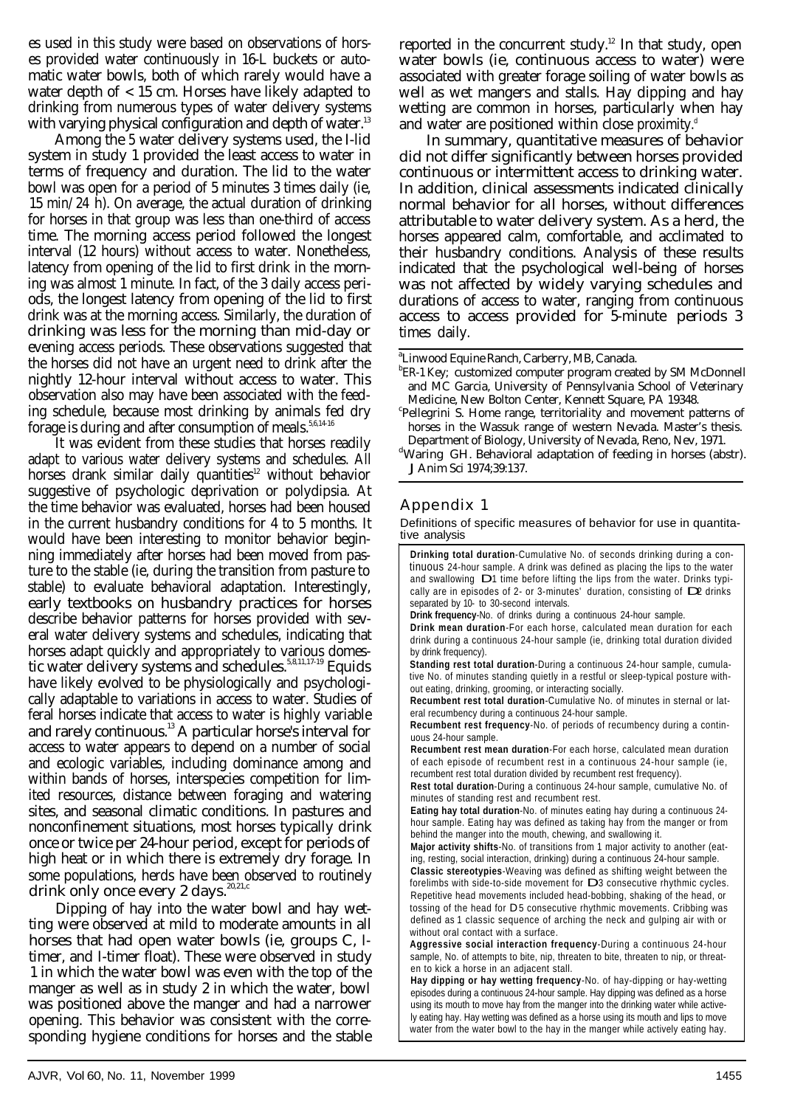es used in this study were based on observations of horses provided water continuously in 16-L buckets or automatic water bowls, both of which rarely would have a water depth of < 15 cm. Horses have likely adapted to drinking from numerous types of water delivery systems with varying physical configuration and depth of water.<sup>13</sup>

Among the 5 water delivery systems used, the I-lid system in study 1 provided the least access to water in terms of frequency and duration. The lid to the water bowl was open for a period of 5 minutes 3 times daily (ie, 15 min/24 h). On average, the actual duration of drinking for horses in that group was less than one-third of access time. The morning access period followed the longest interval (12 hours) without access to water. Nonetheless, latency from opening of the lid to first drink in the morning was almost 1 minute. In fact, of the 3 daily access periods, the longest latency from opening of the lid to first drink was at the morning access. Similarly, the duration of drinking was less for the morning than mid-day or evening access periods. These observations suggested that the horses did not have an urgent need to drink after the nightly 12-hour interval without access to water. This observation also may have been associated with the feeding schedule, because most drinking by animals fed dry forage is during and after consumption of meals. $5,6,14-16'$ 

It was evident from these studies that horses readily adapt to various water delivery systems and schedules. All horses drank similar daily quantities<sup>12</sup> without behavior suggestive of psychologic deprivation or polydipsia. At the time behavior was evaluated, horses had been housed in the current husbandry conditions for 4 to 5 months. It would have been interesting to monitor behavior beginning immediately after horses had been moved from pasture to the stable (ie, during the transition from pasture to stable) to evaluate behavioral adaptation. Interestingly, early textbooks on husbandry practices for horses describe behavior patterns for horses provided with several water delivery systems and schedules, indicating that horses adapt quickly and appropriately to various domestic water delivery systems and schedules.<sup>5,8,11,17-19</sup> Equids have likely evolved to be physiologically and psychologically adaptable to variations in access to water. Studies of feral horses indicate that access to water is highly variable and rarely continuous.<sup>13</sup> A particular horse's interval for access to water appears to depend on a number of social and ecologic variables, including dominance among and within bands of horses, interspecies competition for limited resources, distance between foraging and watering sites, and seasonal climatic conditions. In pastures and nonconfinement situations, most horses typically drink once or twice per 24-hour period, except for periods of high heat or in which there is extremely dry forage. In some populations, herds have been observed to routinely drink only once every 2 days.<sup>20,21,c</sup>

Dipping of hay into the water bowl and hay wetting were observed at mild to moderate amounts in all horses that had open water bowls (ie, groups C, Itimer, and I-timer float). These were observed in study 1 in which the water bowl was even with the top of the manger as well as in study 2 in which the water, bowl was positioned above the manger and had a narrower opening. This behavior was consistent with the corresponding hygiene conditions for horses and the stable

reported in the concurrent study.<sup>12</sup> In that study, open water bowls (ie, continuous access to water) were associated with greater forage soiling of water bowls as well as wet mangers and stalls. Hay dipping and hay wetting are common in horses, particularly when hay and water are positioned within close proximity.<sup> $d$ </sup>

In summary, quantitative measures of behavior did not differ significantly between horses provided continuous or intermittent access to drinking water. In addition, clinical assessments indicated clinically normal behavior for all horses, without differences attributable to water delivery system. As a herd, the horses appeared calm, comfortable, and acclimated to their husbandry conditions. Analysis of these results indicated that the psychological well-being of horses was not affected by widely varying schedules and durations of access to water, ranging from continuous access to access provided for 5-minute periods 3 times daily.

a Linwood Equine Ranch, Carberry, MB, Canada.

- <sup>b</sup>ER-1 Key; customized computer program created by SM McDonnell and MC Garcia, University of Pennsylvania School of Veterinary Medicine, New Bolton Center, Kennett Square, PA 19348.
- Pellegrini S. Home range, territoriality and movement patterns of horses in the Wassuk range of western Nevada. Master's thesis. Department of Biology, University of Nevada, Reno, Nev, 1971.

## Appendix 1

ti ve analysis Definitions of specific measures of behavior for use in quantita-

**Drinking total duration**-Cumulative No. of seconds drinking during a continuous 24-hour sample. A drink was defined as placing the lips to the water and swallowing D 1 time before lifting the lips from the water. Drinks typically are in episodes of 2- or 3-minutes' duration, consisting of  $D2$  drinks separated by 10- to 30-second intervals.

**Drink frequency**-No. of drinks during a continuous 24-hour sample.

**Drink mean duration**-For each horse, calculated mean duration for each drink during a continuous 24-hour sample (ie, drinking total duration divided by drink frequency).

**Standing rest total duration**-During a continuous 24-hour sample, cumulative No. of minutes standing quietly in a restful or sleep-typical posture without eating, drinking, grooming, or interacting socially.

**Recumbent rest total duration**-Cumulative No. of minutes in sternal or lateral recumbency during a continuous 24-hour sample.

**Recumbent rest frequency**-No. of periods of recumbency during a continuous 24-hour sample.

**Recumbent rest mean duration**-For each horse, calculated mean duration of each episode of recumbent rest in a continuous 24-hour sample (ie, recumbent rest total duration divided by recumbent rest frequency).

**Rest total duration**-During a continuous 24-hour sample, cumulative No. of minutes of standing rest and recumbent rest.

**Eating hay total duration**-No. of minutes eating hay during a continuous 24 hour sample. Eating hay was defined as taking hay from the manger or from behind the manger into the mouth, chewing, and swallowing it.

**Major activity shifts**-No. of transitions from 1 major activity to another (eating, resting, social interaction, drinking) during a continuous 24-hour sample.

**Classic stereotypies**-Weaving was defined as shifting weight between the forelimbs with side-to-side movement for D 3 consecutive rhythmic cycles. Repetitive head movements included head-bobbing, shaking of the head, or tossing of the head for D 5 consecutive rhythmic movements. Cribbing was defined as 1 classic sequence of arching the neck and gulping air with or **D** without oral contact with a surface.

**Aggressive social interaction frequency**-During a continuous 24-hour sample, No. of attempts to bite, nip, threaten to bite, threaten to nip, or threaten to kick a horse in an adjacent stall.

**Hay dipping or hay wetting frequency**-No. of hay-dipping or hay-wetting episodes during a continuous 24-hour sample. Hay dipping was defined as a horse using its mouth to move hay from the manger into the drinking water while actively eating hay. Hay wetting was defined as a horse using its mouth and lips to move water from the water bowl to the hay in the manger while actively eating hay.

dWaring GH. Behavioral adaptation of feeding in horses (abstr). J Anim Sci 1974;39:137.